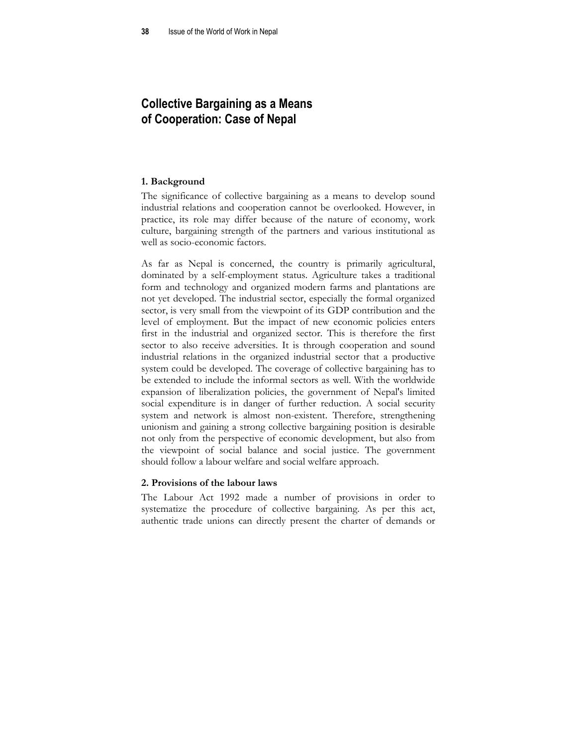# **Collective Bargaining as a Means of Cooperation: Case of Nepal**

# **1. Background**

The significance of collective bargaining as a means to develop sound industrial relations and cooperation cannot be overlooked. However, in practice, its role may differ because of the nature of economy, work culture, bargaining strength of the partners and various institutional as well as socio-economic factors.

As far as Nepal is concerned, the country is primarily agricultural, dominated by a self-employment status. Agriculture takes a traditional form and technology and organized modern farms and plantations are not yet developed. The industrial sector, especially the formal organized sector, is very small from the viewpoint of its GDP contribution and the level of employment. But the impact of new economic policies enters first in the industrial and organized sector. This is therefore the first sector to also receive adversities. It is through cooperation and sound industrial relations in the organized industrial sector that a productive system could be developed. The coverage of collective bargaining has to be extended to include the informal sectors as well. With the worldwide expansion of liberalization policies, the government of Nepal's limited social expenditure is in danger of further reduction. A social security system and network is almost non-existent. Therefore, strengthening unionism and gaining a strong collective bargaining position is desirable not only from the perspective of economic development, but also from the viewpoint of social balance and social justice. The government should follow a labour welfare and social welfare approach.

### **2. Provisions of the labour laws**

The Labour Act 1992 made a number of provisions in order to systematize the procedure of collective bargaining. As per this act, authentic trade unions can directly present the charter of demands or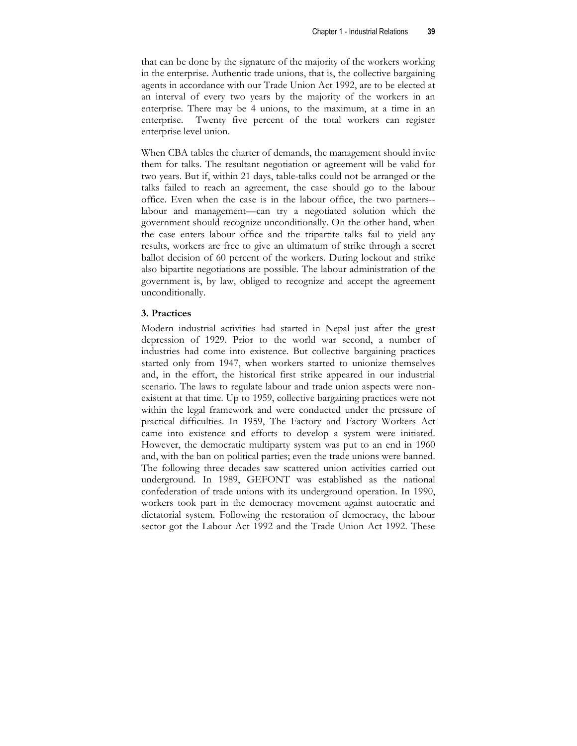that can be done by the signature of the majority of the workers working in the enterprise. Authentic trade unions, that is, the collective bargaining agents in accordance with our Trade Union Act 1992, are to be elected at an interval of every two years by the majority of the workers in an enterprise. There may be 4 unions, to the maximum, at a time in an enterprise. Twenty five percent of the total workers can register enterprise level union.

When CBA tables the charter of demands, the management should invite them for talks. The resultant negotiation or agreement will be valid for two years. But if, within 21 days, table-talks could not be arranged or the talks failed to reach an agreement, the case should go to the labour office. Even when the case is in the labour office, the two partners- labour and management—can try a negotiated solution which the government should recognize unconditionally. On the other hand, when the case enters labour office and the tripartite talks fail to yield any results, workers are free to give an ultimatum of strike through a secret ballot decision of 60 percent of the workers. During lockout and strike also bipartite negotiations are possible. The labour administration of the government is, by law, obliged to recognize and accept the agreement unconditionally.

### **3. Practices**

Modern industrial activities had started in Nepal just after the great depression of 1929. Prior to the world war second, a number of industries had come into existence. But collective bargaining practices started only from 1947, when workers started to unionize themselves and, in the effort, the historical first strike appeared in our industrial scenario. The laws to regulate labour and trade union aspects were nonexistent at that time. Up to 1959, collective bargaining practices were not within the legal framework and were conducted under the pressure of practical difficulties. In 1959, The Factory and Factory Workers Act came into existence and efforts to develop a system were initiated. However, the democratic multiparty system was put to an end in 1960 and, with the ban on political parties; even the trade unions were banned. The following three decades saw scattered union activities carried out underground. In 1989, GEFONT was established as the national confederation of trade unions with its underground operation. In 1990, workers took part in the democracy movement against autocratic and dictatorial system. Following the restoration of democracy, the labour sector got the Labour Act 1992 and the Trade Union Act 1992. These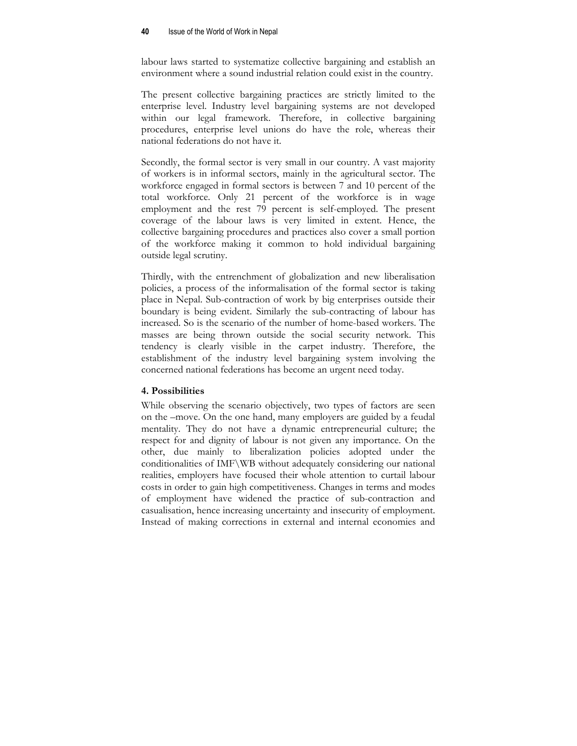labour laws started to systematize collective bargaining and establish an environment where a sound industrial relation could exist in the country.

The present collective bargaining practices are strictly limited to the enterprise level. Industry level bargaining systems are not developed within our legal framework. Therefore, in collective bargaining procedures, enterprise level unions do have the role, whereas their national federations do not have it.

Secondly, the formal sector is very small in our country. A vast majority of workers is in informal sectors, mainly in the agricultural sector. The workforce engaged in formal sectors is between 7 and 10 percent of the total workforce. Only 21 percent of the workforce is in wage employment and the rest 79 percent is self-employed. The present coverage of the labour laws is very limited in extent. Hence, the collective bargaining procedures and practices also cover a small portion of the workforce making it common to hold individual bargaining outside legal scrutiny.

Thirdly, with the entrenchment of globalization and new liberalisation policies, a process of the informalisation of the formal sector is taking place in Nepal. Sub-contraction of work by big enterprises outside their boundary is being evident. Similarly the sub-contracting of labour has increased. So is the scenario of the number of home-based workers. The masses are being thrown outside the social security network. This tendency is clearly visible in the carpet industry. Therefore, the establishment of the industry level bargaining system involving the concerned national federations has become an urgent need today.

# **4. Possibilities**

While observing the scenario objectively, two types of factors are seen on the –move. On the one hand, many employers are guided by a feudal mentality. They do not have a dynamic entrepreneurial culture; the respect for and dignity of labour is not given any importance. On the other, due mainly to liberalization policies adopted under the conditionalities of IMF\WB without adequately considering our national realities, employers have focused their whole attention to curtail labour costs in order to gain high competitiveness. Changes in terms and modes of employment have widened the practice of sub-contraction and casualisation, hence increasing uncertainty and insecurity of employment. Instead of making corrections in external and internal economies and